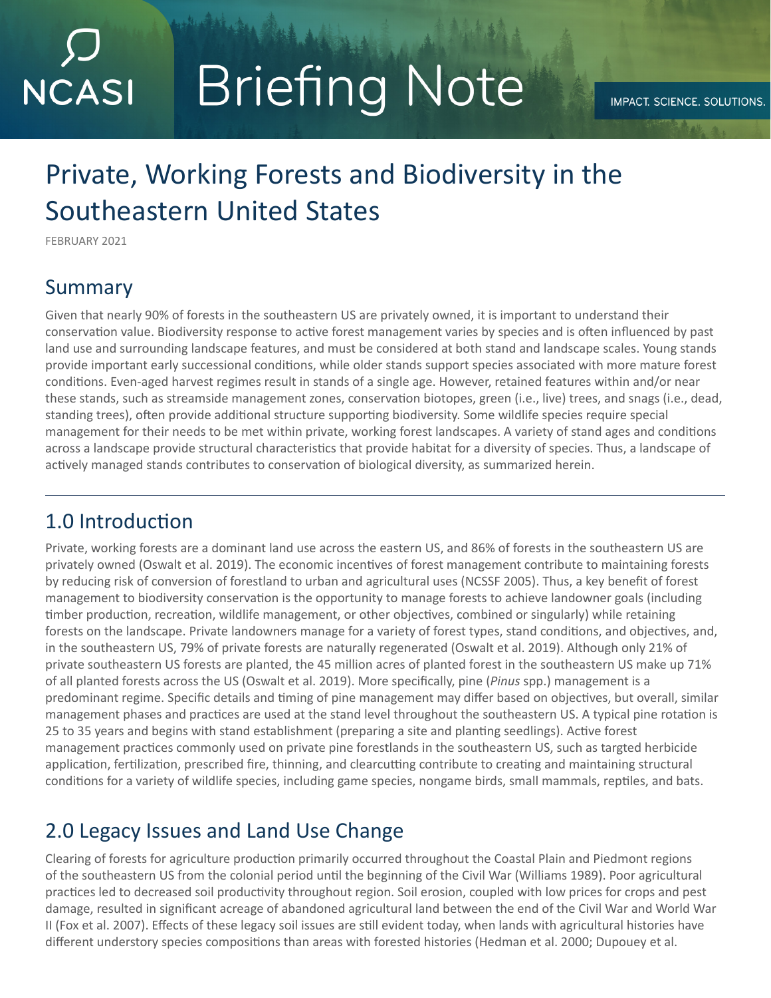# **Briefing Note NCASI**

## Private, Working Forests and Biodiversity in the Southeastern United States

FEBRUARY 2021

#### Summary

Given that nearly 90% of forests in the southeastern US are privately owned, it is important to understand their conservation value. Biodiversity response to active forest management varies by species and is often influenced by past land use and surrounding landscape features, and must be considered at both stand and landscape scales. Young stands provide important early successional conditions, while older stands support species associated with more mature forest conditions. Even-aged harvest regimes result in stands of a single age. However, retained features within and/or near these stands, such as streamside management zones, conservation biotopes, green (i.e., live) trees, and snags (i.e., dead, standing trees), often provide additional structure supporting biodiversity. Some wildlife species require special management for their needs to be met within private, working forest landscapes. A variety of stand ages and conditions across a landscape provide structural characteristics that provide habitat for a diversity of species. Thus, a landscape of actively managed stands contributes to conservation of biological diversity, as summarized herein.

#### 1.0 Introduction

Private, working forests are a dominant land use across the eastern US, and 86% of forests in the southeastern US are privately owned (Oswalt et al. 2019). The economic incentives of forest management contribute to maintaining forests by reducing risk of conversion of forestland to urban and agricultural uses (NCSSF 2005). Thus, a key benefit of forest management to biodiversity conservation is the opportunity to manage forests to achieve landowner goals (including timber production, recreation, wildlife management, or other objectives, combined or singularly) while retaining forests on the landscape. Private landowners manage for a variety of forest types, stand conditions, and objectives, and, in the southeastern US, 79% of private forests are naturally regenerated (Oswalt et al. 2019). Although only 21% of private southeastern US forests are planted, the 45 million acres of planted forest in the southeastern US make up 71% of all planted forests across the US (Oswalt et al. 2019). More specifically, pine (*Pinus* spp.) management is a predominant regime. Specific details and timing of pine management may differ based on objectives, but overall, similar management phases and practices are used at the stand level throughout the southeastern US. A typical pine rotation is 25 to 35 years and begins with stand establishment (preparing a site and planting seedlings). Active forest management practices commonly used on private pine forestlands in the southeastern US, such as targted herbicide application, fertilization, prescribed fire, thinning, and clearcutting contribute to creating and maintaining structural conditions for a variety of wildlife species, including game species, nongame birds, small mammals, reptiles, and bats.

#### 2.0 Legacy Issues and Land Use Change

Clearing of forests for agriculture production primarily occurred throughout the Coastal Plain and Piedmont regions of the southeastern US from the colonial period until the beginning of the Civil War (Williams 1989). Poor agricultural practices led to decreased soil productivity throughout region. Soil erosion, coupled with low prices for crops and pest damage, resulted in significant acreage of abandoned agricultural land between the end of the Civil War and World War II (Fox et al. 2007). Effects of these legacy soil issues are still evident today, when lands with agricultural histories have different understory species compositions than areas with forested histories (Hedman et al. 2000; Dupouey et al.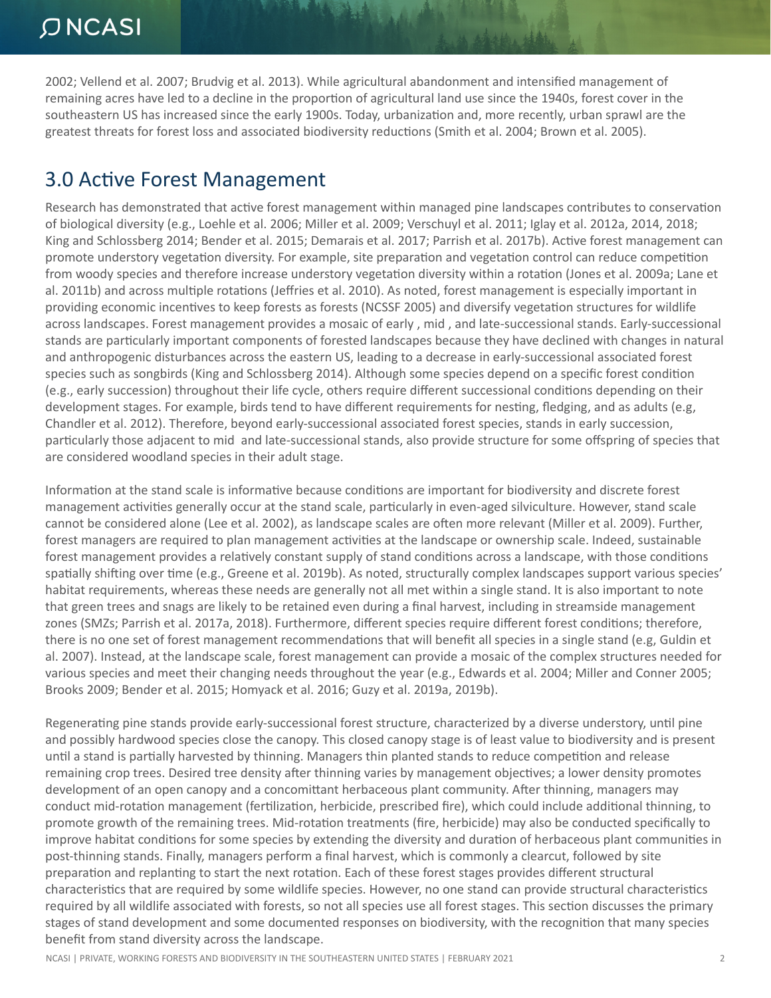2002; Vellend et al. 2007; Brudvig et al. 2013). While agricultural abandonment and intensified management of remaining acres have led to a decline in the proportion of agricultural land use since the 1940s, forest cover in the southeastern US has increased since the early 1900s. Today, urbanization and, more recently, urban sprawl are the greatest threats for forest loss and associated biodiversity reductions (Smith et al. 2004; Brown et al. 2005).

MAN AND ST

#### 3.0 Active Forest Management

Research has demonstrated that active forest management within managed pine landscapes contributes to conservation of biological diversity (e.g., Loehle et al. 2006; Miller et al. 2009; Verschuyl et al. 2011; Iglay et al. 2012a, 2014, 2018; King and Schlossberg 2014; Bender et al. 2015; Demarais et al. 2017; Parrish et al. 2017b). Active forest management can promote understory vegetation diversity. For example, site preparation and vegetation control can reduce competition from woody species and therefore increase understory vegetation diversity within a rotation (Jones et al. 2009a; Lane et al. 2011b) and across multiple rotations (Jeffries et al. 2010). As noted, forest management is especially important in providing economic incentives to keep forests as forests (NCSSF 2005) and diversify vegetation structures for wildlife across landscapes. Forest management provides a mosaic of early , mid , and late-successional stands. Early-successional stands are particularly important components of forested landscapes because they have declined with changes in natural and anthropogenic disturbances across the eastern US, leading to a decrease in early-successional associated forest species such as songbirds (King and Schlossberg 2014). Although some species depend on a specific forest condition (e.g., early succession) throughout their life cycle, others require different successional conditions depending on their development stages. For example, birds tend to have different requirements for nesting, fledging, and as adults (e.g, Chandler et al. 2012). Therefore, beyond early-successional associated forest species, stands in early succession, particularly those adjacent to mid and late-successional stands, also provide structure for some offspring of species that are considered woodland species in their adult stage.

Information at the stand scale is informative because conditions are important for biodiversity and discrete forest management activities generally occur at the stand scale, particularly in even-aged silviculture. However, stand scale cannot be considered alone (Lee et al. 2002), as landscape scales are often more relevant (Miller et al. 2009). Further, forest managers are required to plan management activities at the landscape or ownership scale. Indeed, sustainable forest management provides a relatively constant supply of stand conditions across a landscape, with those conditions spatially shifting over time (e.g., Greene et al. 2019b). As noted, structurally complex landscapes support various species' habitat requirements, whereas these needs are generally not all met within a single stand. It is also important to note that green trees and snags are likely to be retained even during a final harvest, including in streamside management zones (SMZs; Parrish et al. 2017a, 2018). Furthermore, different species require different forest conditions; therefore, there is no one set of forest management recommendations that will benefit all species in a single stand (e.g, Guldin et al. 2007). Instead, at the landscape scale, forest management can provide a mosaic of the complex structures needed for various species and meet their changing needs throughout the year (e.g., Edwards et al. 2004; Miller and Conner 2005; Brooks 2009; Bender et al. 2015; Homyack et al. 2016; Guzy et al. 2019a, 2019b).

Regenerating pine stands provide early-successional forest structure, characterized by a diverse understory, until pine and possibly hardwood species close the canopy. This closed canopy stage is of least value to biodiversity and is present until a stand is partially harvested by thinning. Managers thin planted stands to reduce competition and release remaining crop trees. Desired tree density after thinning varies by management objectives; a lower density promotes development of an open canopy and a concomittant herbaceous plant community. After thinning, managers may conduct mid-rotation management (fertilization, herbicide, prescribed fire), which could include additional thinning, to promote growth of the remaining trees. Mid-rotation treatments (fire, herbicide) may also be conducted specifically to improve habitat conditions for some species by extending the diversity and duration of herbaceous plant communities in post-thinning stands. Finally, managers perform a final harvest, which is commonly a clearcut, followed by site preparation and replanting to start the next rotation. Each of these forest stages provides different structural characteristics that are required by some wildlife species. However, no one stand can provide structural characteristics required by all wildlife associated with forests, so not all species use all forest stages. This section discusses the primary stages of stand development and some documented responses on biodiversity, with the recognition that many species benefit from stand diversity across the landscape.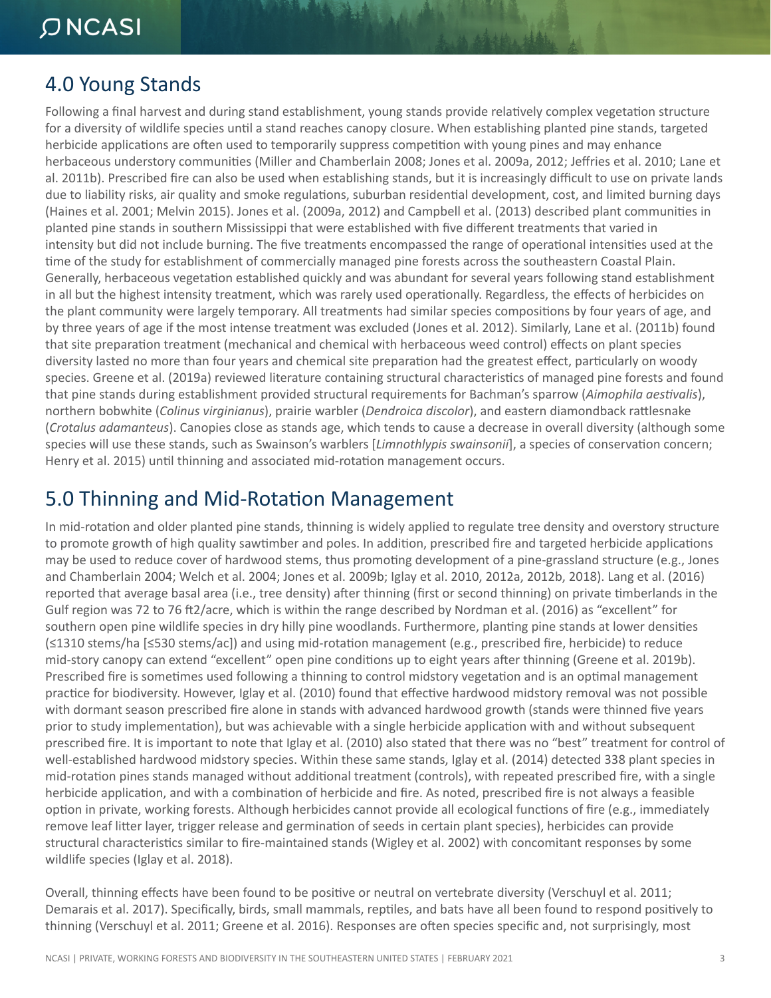#### 4.0 Young Stands

Following a final harvest and during stand establishment, young stands provide relatively complex vegetation structure for a diversity of wildlife species until a stand reaches canopy closure. When establishing planted pine stands, targeted herbicide applications are often used to temporarily suppress competition with young pines and may enhance herbaceous understory communities (Miller and Chamberlain 2008; Jones et al. 2009a, 2012; Jeffries et al. 2010; Lane et al. 2011b). Prescribed fire can also be used when establishing stands, but it is increasingly difficult to use on private lands due to liability risks, air quality and smoke regulations, suburban residential development, cost, and limited burning days (Haines et al. 2001; Melvin 2015). Jones et al. (2009a, 2012) and Campbell et al. (2013) described plant communities in planted pine stands in southern Mississippi that were established with five different treatments that varied in intensity but did not include burning. The five treatments encompassed the range of operational intensities used at the time of the study for establishment of commercially managed pine forests across the southeastern Coastal Plain. Generally, herbaceous vegetation established quickly and was abundant for several years following stand establishment in all but the highest intensity treatment, which was rarely used operationally. Regardless, the effects of herbicides on the plant community were largely temporary. All treatments had similar species compositions by four years of age, and by three years of age if the most intense treatment was excluded (Jones et al. 2012). Similarly, Lane et al. (2011b) found that site preparation treatment (mechanical and chemical with herbaceous weed control) effects on plant species diversity lasted no more than four years and chemical site preparation had the greatest effect, particularly on woody species. Greene et al. (2019a) reviewed literature containing structural characteristics of managed pine forests and found that pine stands during establishment provided structural requirements for Bachman's sparrow (*Aimophila aestivalis*), northern bobwhite (*Colinus virginianus*), prairie warbler (*Dendroica discolor*), and eastern diamondback rattlesnake (*Crotalus adamanteus*). Canopies close as stands age, which tends to cause a decrease in overall diversity (although some species will use these stands, such as Swainson's warblers [*Limnothlypis swainsonii*], a species of conservation concern; Henry et al. 2015) until thinning and associated mid-rotation management occurs.

NAPA A

#### 5.0 Thinning and Mid-Rotation Management

In mid-rotation and older planted pine stands, thinning is widely applied to regulate tree density and overstory structure to promote growth of high quality sawtimber and poles. In addition, prescribed fire and targeted herbicide applications may be used to reduce cover of hardwood stems, thus promoting development of a pine-grassland structure (e.g., Jones and Chamberlain 2004; Welch et al. 2004; Jones et al. 2009b; Iglay et al. 2010, 2012a, 2012b, 2018). Lang et al. (2016) reported that average basal area (i.e., tree density) after thinning (first or second thinning) on private timberlands in the Gulf region was 72 to 76 ft2/acre, which is within the range described by Nordman et al. (2016) as "excellent" for southern open pine wildlife species in dry hilly pine woodlands. Furthermore, planting pine stands at lower densities (≤1310 stems/ha [≤530 stems/ac]) and using mid-rotation management (e.g., prescribed fire, herbicide) to reduce mid-story canopy can extend "excellent" open pine conditions up to eight years after thinning (Greene et al. 2019b). Prescribed fire is sometimes used following a thinning to control midstory vegetation and is an optimal management practice for biodiversity. However, Iglay et al. (2010) found that effective hardwood midstory removal was not possible with dormant season prescribed fire alone in stands with advanced hardwood growth (stands were thinned five years prior to study implementation), but was achievable with a single herbicide application with and without subsequent prescribed fire. It is important to note that Iglay et al. (2010) also stated that there was no "best" treatment for control of well-established hardwood midstory species. Within these same stands, Iglay et al. (2014) detected 338 plant species in mid-rotation pines stands managed without additional treatment (controls), with repeated prescribed fire, with a single herbicide application, and with a combination of herbicide and fire. As noted, prescribed fire is not always a feasible option in private, working forests. Although herbicides cannot provide all ecological functions of fire (e.g., immediately remove leaf litter layer, trigger release and germination of seeds in certain plant species), herbicides can provide structural characteristics similar to fire-maintained stands (Wigley et al. 2002) with concomitant responses by some wildlife species (Iglay et al. 2018).

Overall, thinning effects have been found to be positive or neutral on vertebrate diversity (Verschuyl et al. 2011; Demarais et al. 2017). Specifically, birds, small mammals, reptiles, and bats have all been found to respond positively to thinning (Verschuyl et al. 2011; Greene et al. 2016). Responses are often species specific and, not surprisingly, most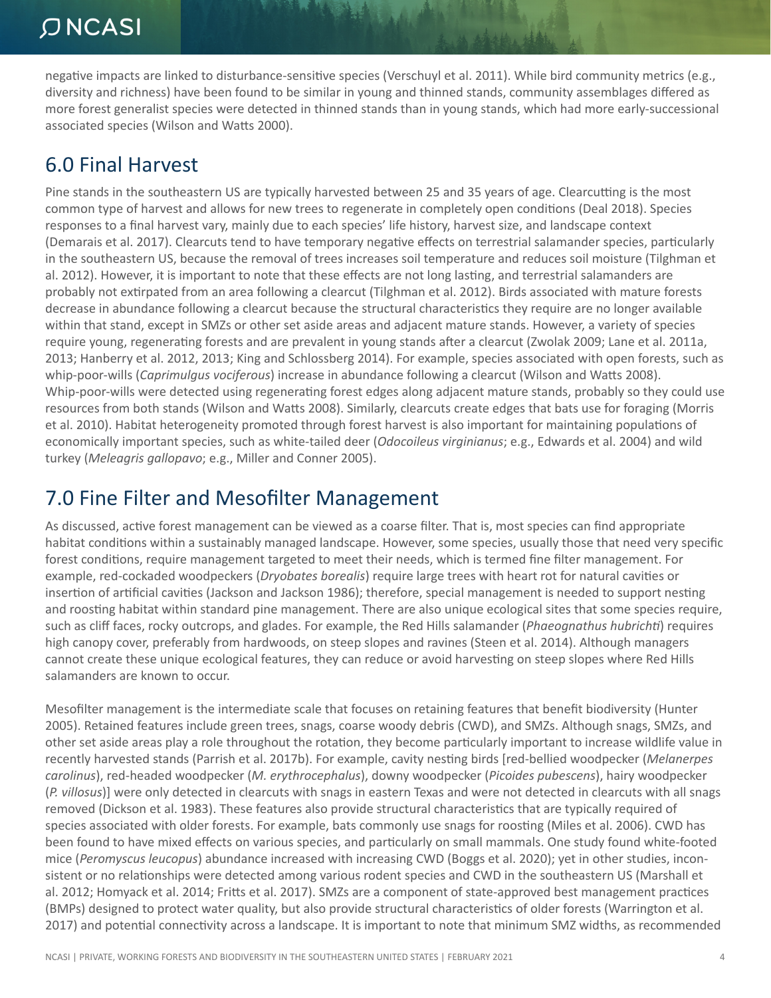negative impacts are linked to disturbance-sensitive species (Verschuyl et al. 2011). While bird community metrics (e.g., diversity and richness) have been found to be similar in young and thinned stands, community assemblages differed as more forest generalist species were detected in thinned stands than in young stands, which had more early-successional associated species (Wilson and Watts 2000).

**大 大 不** 

#### 6.0 Final Harvest

Pine stands in the southeastern US are typically harvested between 25 and 35 years of age. Clearcutting is the most common type of harvest and allows for new trees to regenerate in completely open conditions (Deal 2018). Species responses to a final harvest vary, mainly due to each species' life history, harvest size, and landscape context (Demarais et al. 2017). Clearcuts tend to have temporary negative effects on terrestrial salamander species, particularly in the southeastern US, because the removal of trees increases soil temperature and reduces soil moisture (Tilghman et al. 2012). However, it is important to note that these effects are not long lasting, and terrestrial salamanders are probably not extirpated from an area following a clearcut (Tilghman et al. 2012). Birds associated with mature forests decrease in abundance following a clearcut because the structural characteristics they require are no longer available within that stand, except in SMZs or other set aside areas and adjacent mature stands. However, a variety of species require young, regenerating forests and are prevalent in young stands after a clearcut (Zwolak 2009; Lane et al. 2011a, 2013; Hanberry et al. 2012, 2013; King and Schlossberg 2014). For example, species associated with open forests, such as whip-poor-wills (*Caprimulgus vociferous*) increase in abundance following a clearcut (Wilson and Watts 2008). Whip-poor-wills were detected using regenerating forest edges along adjacent mature stands, probably so they could use resources from both stands (Wilson and Watts 2008). Similarly, clearcuts create edges that bats use for foraging (Morris et al. 2010). Habitat heterogeneity promoted through forest harvest is also important for maintaining populations of economically important species, such as white-tailed deer (*Odocoileus virginianus*; e.g., Edwards et al. 2004) and wild turkey (*Meleagris gallopavo*; e.g., Miller and Conner 2005).

#### 7.0 Fine Filter and Mesofilter Management

As discussed, active forest management can be viewed as a coarse filter. That is, most species can find appropriate habitat conditions within a sustainably managed landscape. However, some species, usually those that need very specific forest conditions, require management targeted to meet their needs, which is termed fine filter management. For example, red-cockaded woodpeckers (*Dryobates borealis*) require large trees with heart rot for natural cavities or insertion of artificial cavities (Jackson and Jackson 1986); therefore, special management is needed to support nesting and roosting habitat within standard pine management. There are also unique ecological sites that some species require, such as cliff faces, rocky outcrops, and glades. For example, the Red Hills salamander (*Phaeognathus hubrichti*) requires high canopy cover, preferably from hardwoods, on steep slopes and ravines (Steen et al. 2014). Although managers cannot create these unique ecological features, they can reduce or avoid harvesting on steep slopes where Red Hills salamanders are known to occur.

Mesofilter management is the intermediate scale that focuses on retaining features that benefit biodiversity (Hunter 2005). Retained features include green trees, snags, coarse woody debris (CWD), and SMZs. Although snags, SMZs, and other set aside areas play a role throughout the rotation, they become particularly important to increase wildlife value in recently harvested stands (Parrish et al. 2017b). For example, cavity nesting birds [red-bellied woodpecker (*Melanerpes carolinus*), red-headed woodpecker (*M. erythrocephalus*), downy woodpecker (*Picoides pubescens*), hairy woodpecker (*P. villosus*)] were only detected in clearcuts with snags in eastern Texas and were not detected in clearcuts with all snags removed (Dickson et al. 1983). These features also provide structural characteristics that are typically required of species associated with older forests. For example, bats commonly use snags for roosting (Miles et al. 2006). CWD has been found to have mixed effects on various species, and particularly on small mammals. One study found white-footed mice (*Peromyscus leucopus*) abundance increased with increasing CWD (Boggs et al. 2020); yet in other studies, inconsistent or no relationships were detected among various rodent species and CWD in the southeastern US (Marshall et al. 2012; Homyack et al. 2014; Fritts et al. 2017). SMZs are a component of state-approved best management practices (BMPs) designed to protect water quality, but also provide structural characteristics of older forests (Warrington et al. 2017) and potential connectivity across a landscape. It is important to note that minimum SMZ widths, as recommended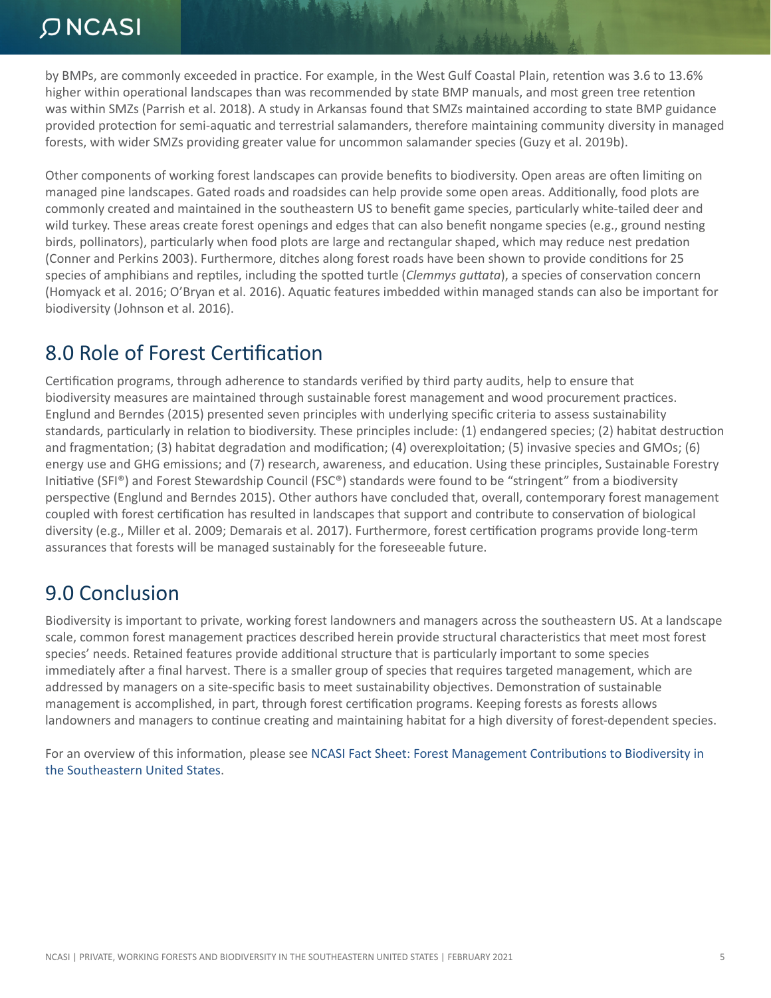by BMPs, are commonly exceeded in practice. For example, in the West Gulf Coastal Plain, retention was 3.6 to 13.6% higher within operational landscapes than was recommended by state BMP manuals, and most green tree retention was within SMZs (Parrish et al. 2018). A study in Arkansas found that SMZs maintained according to state BMP guidance provided protection for semi-aquatic and terrestrial salamanders, therefore maintaining community diversity in managed forests, with wider SMZs providing greater value for uncommon salamander species (Guzy et al. 2019b).

Other components of working forest landscapes can provide benefits to biodiversity. Open areas are often limiting on managed pine landscapes. Gated roads and roadsides can help provide some open areas. Additionally, food plots are commonly created and maintained in the southeastern US to benefit game species, particularly white-tailed deer and wild turkey. These areas create forest openings and edges that can also benefit nongame species (e.g., ground nesting birds, pollinators), particularly when food plots are large and rectangular shaped, which may reduce nest predation (Conner and Perkins 2003). Furthermore, ditches along forest roads have been shown to provide conditions for 25 species of amphibians and reptiles, including the spotted turtle (*Clemmys guttata*), a species of conservation concern (Homyack et al. 2016; O'Bryan et al. 2016). Aquatic features imbedded within managed stands can also be important for biodiversity (Johnson et al. 2016).

#### 8.0 Role of Forest Certification

Certification programs, through adherence to standards verified by third party audits, help to ensure that biodiversity measures are maintained through sustainable forest management and wood procurement practices. Englund and Berndes (2015) presented seven principles with underlying specific criteria to assess sustainability standards, particularly in relation to biodiversity. These principles include: (1) endangered species; (2) habitat destruction and fragmentation; (3) habitat degradation and modification; (4) overexploitation; (5) invasive species and GMOs; (6) energy use and GHG emissions; and (7) research, awareness, and education. Using these principles, Sustainable Forestry Initiative (SFI®) and Forest Stewardship Council (FSC®) standards were found to be "stringent" from a biodiversity perspective (Englund and Berndes 2015). Other authors have concluded that, overall, contemporary forest management coupled with forest certification has resulted in landscapes that support and contribute to conservation of biological diversity (e.g., Miller et al. 2009; Demarais et al. 2017). Furthermore, forest certification programs provide long-term assurances that forests will be managed sustainably for the foreseeable future.

#### 9.0 Conclusion

Biodiversity is important to private, working forest landowners and managers across the southeastern US. At a landscape scale, common forest management practices described herein provide structural characteristics that meet most forest species' needs. Retained features provide additional structure that is particularly important to some species immediately after a final harvest. There is a smaller group of species that requires targeted management, which are addressed by managers on a site-specific basis to meet sustainability objectives. Demonstration of sustainable management is accomplished, in part, through forest certification programs. Keeping forests as forests allows landowners and managers to continue creating and maintaining habitat for a high diversity of forest-dependent species.

For an overview of this information, please see [NCASI Fact Sheet: Forest Management Contributions to Biodiversity in](https://www.ncasi.org/resource/forest-management-contributions-to-biodiversity-in-the-southeastern-united-states/)  [the Southeastern United States](https://www.ncasi.org/resource/forest-management-contributions-to-biodiversity-in-the-southeastern-united-states/).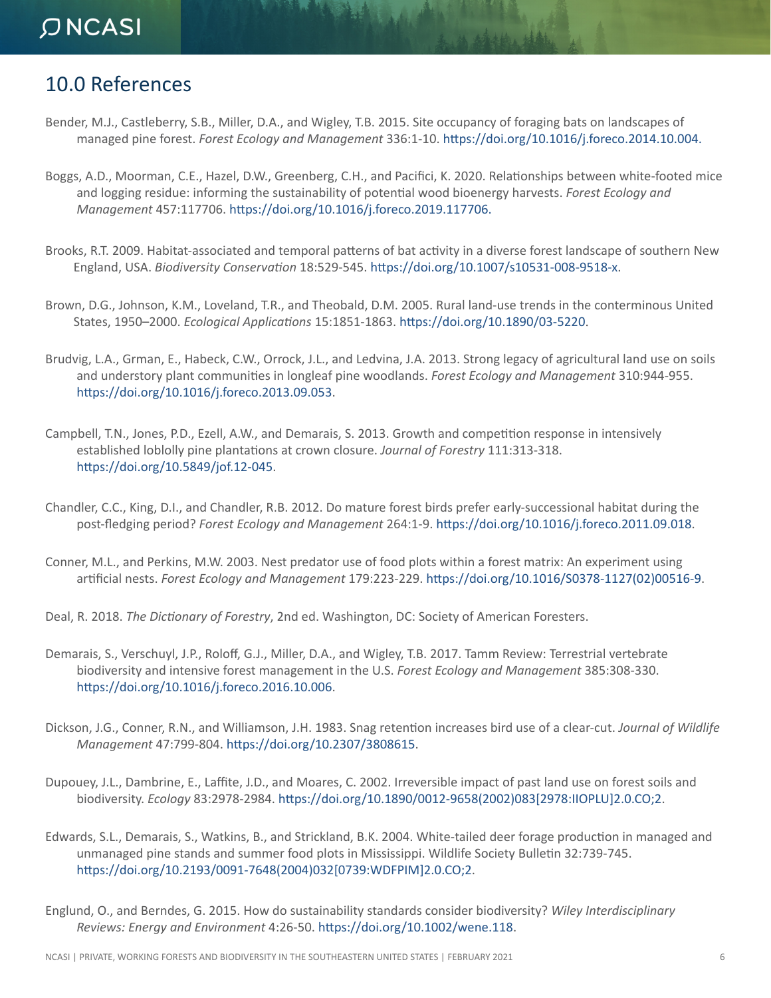#### 10.0 References

Bender, M.J., Castleberry, S.B., Miller, D.A., and Wigley, T.B. 2015. Site occupancy of foraging bats on landscapes of managed pine forest. *Forest Ecology and Management* 336:1-10. [https://doi.org/10.1016/j.foreco.2014.10.004.](https://doi.org/10.1016/j.foreco.2014.10.004)

THE PARTY

- Boggs, A.D., Moorman, C.E., Hazel, D.W., Greenberg, C.H., and Pacifici, K. 2020. Relationships between white-footed mice and logging residue: informing the sustainability of potential wood bioenergy harvests. *Forest Ecology and Management* 457:117706. [https://doi.org/10.1016/j.foreco.2019.117706.](https://doi.org/10.1016/j.foreco.2019.117706)
- Brooks, R.T. 2009. Habitat-associated and temporal patterns of bat activity in a diverse forest landscape of southern New England, USA. *Biodiversity Conservation* 18:529-545. [https://doi.org/10.1007/s10531-008-9518-x.](https://doi.org/10.1007/s10531-008-9518-x)
- Brown, D.G., Johnson, K.M., Loveland, T.R., and Theobald, D.M. 2005. Rural land-use trends in the conterminous United States, 1950–2000. *Ecological Applications* 15:1851-1863. [https://doi.org/10.1890/03-5220.](https://doi.org/10.1890/03-5220)
- Brudvig, L.A., Grman, E., Habeck, C.W., Orrock, J.L., and Ledvina, J.A. 2013. Strong legacy of agricultural land use on soils and understory plant communities in longleaf pine woodlands. *Forest Ecology and Management* 310:944-955. [https://doi.org/10.1016/j.foreco.2013.09.053.](https://doi.org/10.1016/j.foreco.2013.09.053)
- Campbell, T.N., Jones, P.D., Ezell, A.W., and Demarais, S. 2013. Growth and competition response in intensively established loblolly pine plantations at crown closure. *Journal of Forestry* 111:313-318. [https://doi.org/10.5849/jof.12-045.](https://doi.org/10.5849/jof.12-045)
- Chandler, C.C., King, D.I., and Chandler, R.B. 2012. Do mature forest birds prefer early-successional habitat during the post-fledging period? *Forest Ecology and Management* 264:1-9. <https://doi.org/10.1016/j.foreco.2011.09.018>.
- Conner, M.L., and Perkins, M.W. 2003. Nest predator use of food plots within a forest matrix: An experiment using artificial nests. *Forest Ecology and Management* 179:223-229. [https://doi.org/10.1016/S0378-1127\(02\)00516-9](https://doi.org/10.1016/S0378-1127(02)00516-9).
- Deal, R. 2018. *The Dictionary of Forestry*, 2nd ed. Washington, DC: Society of American Foresters.
- Demarais, S., Verschuyl, J.P., Roloff, G.J., Miller, D.A., and Wigley, T.B. 2017. Tamm Review: Terrestrial vertebrate biodiversity and intensive forest management in the U.S. *Forest Ecology and Management* 385:308-330. [https://doi.org/10.1016/j.foreco.2016.10.006.](https://doi.org/10.1016/j.foreco.2016.10.006)
- Dickson, J.G., Conner, R.N., and Williamson, J.H. 1983. Snag retention increases bird use of a clear-cut. *Journal of Wildlife Management* 47:799-804. [https://doi.org/10.2307/3808615.](https://doi.org/10.2307/3808615)
- Dupouey, J.L., Dambrine, E., Laffite, J.D., and Moares, C. 2002. Irreversible impact of past land use on forest soils and biodiversity. *Ecology* 83:2978-2984. [https://doi.org/10.1890/0012-9658\(2002\)083\[2978:IIOPLU\]2.0.CO;2.](https://doi.org/10.1890/0012-9658(2002)083[2978:IIOPLU]2.0.CO;2)
- Edwards, S.L., Demarais, S., Watkins, B., and Strickland, B.K. 2004. White-tailed deer forage production in managed and unmanaged pine stands and summer food plots in Mississippi. Wildlife Society Bulletin 32:739-745. [https://doi.org/10.2193/0091-7648\(2004\)032\[0739:WDFPIM\]2.0.CO;2.](https://doi.org/10.2193/0091-7648(2004)032[0739:WDFPIM]2.0.CO;2)
- Englund, O., and Berndes, G. 2015. How do sustainability standards consider biodiversity? *Wiley Interdisciplinary Reviews: Energy and Environment* 4:26-50. [https://doi.org/10.1002/wene.118.](https://doi.org/10.1002/wene.118)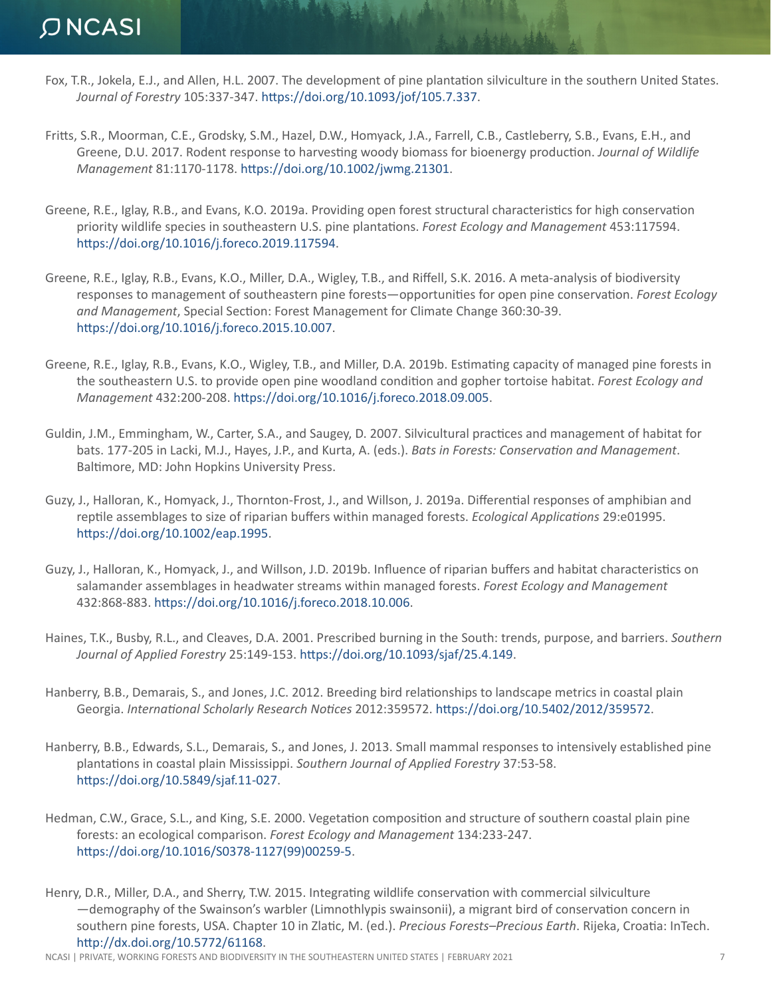Fox, T.R., Jokela, E.J., and Allen, H.L. 2007. The development of pine plantation silviculture in the southern United States. *Journal of Forestry* 105:337-347. <https://doi.org/10.1093/jof/105.7.337>.

**TANA ALL** 

- Fritts, S.R., Moorman, C.E., Grodsky, S.M., Hazel, D.W., Homyack, J.A., Farrell, C.B., Castleberry, S.B., Evans, E.H., and Greene, D.U. 2017. Rodent response to harvesting woody biomass for bioenergy production. *Journal of Wildlife Management* 81:1170-1178.<https://doi.org/10.1002/jwmg.21301>.
- Greene, R.E., Iglay, R.B., and Evans, K.O. 2019a. Providing open forest structural characteristics for high conservation priority wildlife species in southeastern U.S. pine plantations. *Forest Ecology and Management* 453:117594. [https://doi.org/10.1016/j.foreco.2019.117594.](https://doi.org/10.1016/j.foreco.2019.117594)
- Greene, R.E., Iglay, R.B., Evans, K.O., Miller, D.A., Wigley, T.B., and Riffell, S.K. 2016. A meta-analysis of biodiversity responses to management of southeastern pine forests—opportunities for open pine conservation. *Forest Ecology and Management*, Special Section: Forest Management for Climate Change 360:30-39. [https://doi.org/10.1016/j.foreco.2015.10.007.](https://doi.org/10.1016/j.foreco.2015.10.007)
- Greene, R.E., Iglay, R.B., Evans, K.O., Wigley, T.B., and Miller, D.A. 2019b. Estimating capacity of managed pine forests in the southeastern U.S. to provide open pine woodland condition and gopher tortoise habitat. *Forest Ecology and Management* 432:200-208. [https://doi.org/10.1016/j.foreco.2018.09.005.](https://doi.org/10.1016/j.foreco.2018.09.005)
- Guldin, J.M., Emmingham, W., Carter, S.A., and Saugey, D. 2007. Silvicultural practices and management of habitat for bats. 177-205 in Lacki, M.J., Hayes, J.P., and Kurta, A. (eds.). *Bats in Forests: Conservation and Management*. Baltimore, MD: John Hopkins University Press.
- Guzy, J., Halloran, K., Homyack, J., Thornton‐Frost, J., and Willson, J. 2019a. Differential responses of amphibian and reptile assemblages to size of riparian buffers within managed forests. *Ecological Applications* 29:e01995. [https://doi.org/10.1002/eap.1995]( https://doi.org/10.1002/eap.1995).
- Guzy, J., Halloran, K., Homyack, J., and Willson, J.D. 2019b. Influence of riparian buffers and habitat characteristics on salamander assemblages in headwater streams within managed forests. *Forest Ecology and Management* 432:868-883. [https://doi.org/10.1016/j.foreco.2018.10.006.](https://doi.org/10.1016/j.foreco.2018.10.006)
- Haines, T.K., Busby, R.L., and Cleaves, D.A. 2001. Prescribed burning in the South: trends, purpose, and barriers. *Southern Journal of Applied Forestry* 25:149-153. [https://doi.org/10.1093/sjaf/25.4.149.](https://doi.org/10.1093/sjaf/25.4.149)
- Hanberry, B.B., Demarais, S., and Jones, J.C. 2012. Breeding bird relationships to landscape metrics in coastal plain Georgia. *International Scholarly Research Notices* 2012:359572. [https://doi.org/10.5402/2012/359572.](https://doi.org/10.5402/2012/359572)
- Hanberry, B.B., Edwards, S.L., Demarais, S., and Jones, J. 2013. Small mammal responses to intensively established pine plantations in coastal plain Mississippi. *Southern Journal of Applied Forestry* 37:53-58. <https://doi.org/10.5849/sjaf.11-027>.
- Hedman, C.W., Grace, S.L., and King, S.E. 2000. Vegetation composition and structure of southern coastal plain pine forests: an ecological comparison. *Forest Ecology and Management* 134:233-247. [https://doi.org/10.1016/S0378-1127\(99\)00259-5]( https://doi.org/10.1016/S0378-1127(99)00259-5).
- Henry, D.R., Miller, D.A., and Sherry, T.W. 2015. Integrating wildlife conservation with commercial silviculture —demography of the Swainson's warbler (Limnothlypis swainsonii), a migrant bird of conservation concern in southern pine forests, USA. Chapter 10 in Zlatic, M. (ed.). *Precious Forests–Precious Earth*. Rijeka, Croatia: InTech. [http://dx.doi.org/10.5772/61168.](http://dx.doi.org/10.5772/61168)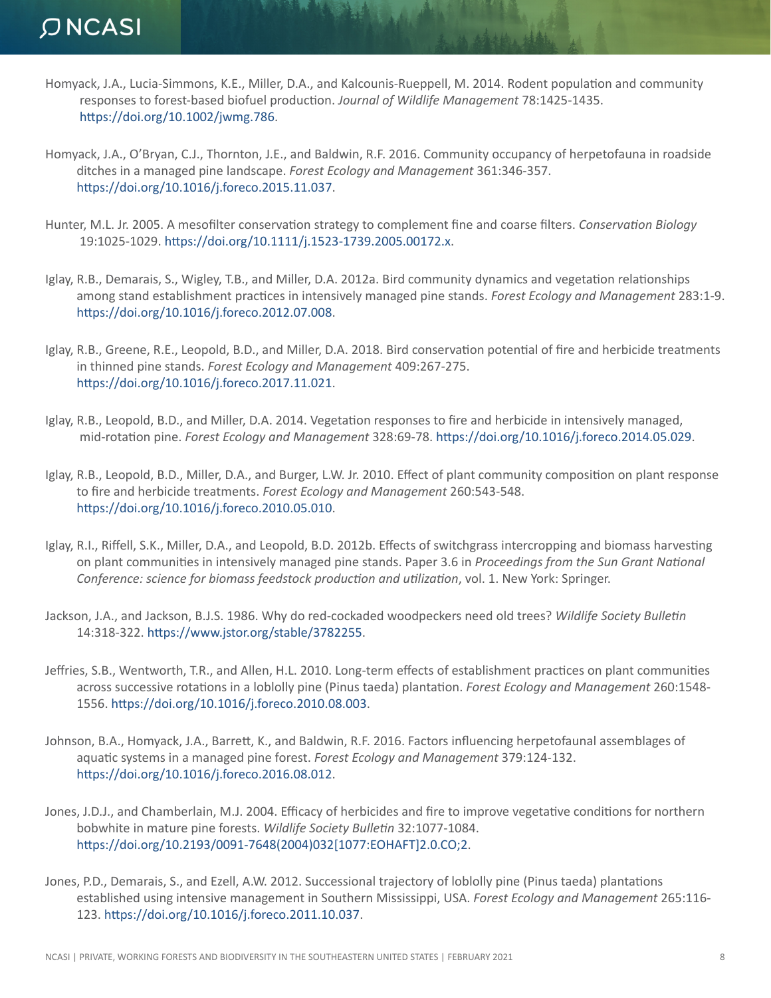Homyack, J.A., Lucia-Simmons, K.E., Miller, D.A., and Kalcounis-Rueppell, M. 2014. Rodent population and community responses to forest-based biofuel production. *Journal of Wildlife Management* 78:1425-1435. [https://doi.org/10.1002/jwmg.786]( https://doi.org/10.1002/jwmg.786).

TAN PARA

- Homyack, J.A., O'Bryan, C.J., Thornton, J.E., and Baldwin, R.F. 2016. Community occupancy of herpetofauna in roadside ditches in a managed pine landscape. *Forest Ecology and Management* 361:346-357. [https://doi.org/10.1016/j.foreco.2015.11.037.](https://doi.org/10.1016/j.foreco.2015.11.037)
- Hunter, M.L. Jr. 2005. A mesofilter conservation strategy to complement fine and coarse filters. *Conservation Biology* 19:1025-1029. <https://doi.org/10.1111/j.1523-1739.2005.00172.x>.
- Iglay, R.B., Demarais, S., Wigley, T.B., and Miller, D.A. 2012a. Bird community dynamics and vegetation relationships among stand establishment practices in intensively managed pine stands. *Forest Ecology and Management* 283:1-9. [https://doi.org/10.1016/j.foreco.2012.07.008.]( https://doi.org/10.1016/j.foreco.2012.07.008)
- Iglay, R.B., Greene, R.E., Leopold, B.D., and Miller, D.A. 2018. Bird conservation potential of fire and herbicide treatments in thinned pine stands. *Forest Ecology and Management* 409:267-275. [https://doi.org/10.1016/j.foreco.2017.11.021.](https://doi.org/10.1016/j.foreco.2017.11.021)
- Iglay, R.B., Leopold, B.D., and Miller, D.A. 2014. Vegetation responses to fire and herbicide in intensively managed, mid-rotation pine. *Forest Ecology and Management* 328:69-78.<https://doi.org/10.1016/j.foreco.2014.05.029>.
- Iglay, R.B., Leopold, B.D., Miller, D.A., and Burger, L.W. Jr. 2010. Effect of plant community composition on plant response to fire and herbicide treatments. *Forest Ecology and Management* 260:543-548. [https://doi.org/10.1016/j.foreco.2010.05.010.](https://doi.org/10.1016/j.foreco.2010.05.010)
- Iglay, R.I., Riffell, S.K., Miller, D.A., and Leopold, B.D. 2012b. Effects of switchgrass intercropping and biomass harvesting on plant communities in intensively managed pine stands. Paper 3.6 in *Proceedings from the Sun Grant National Conference: science for biomass feedstock production and utilization*, vol. 1. New York: Springer.
- Jackson, J.A., and Jackson, B.J.S. 1986. Why do red-cockaded woodpeckers need old trees? *Wildlife Society Bulletin* 14:318-322. [https://www.jstor.org/stable/3782255.](https://www.jstor.org/stable/3782255)
- Jeffries, S.B., Wentworth, T.R., and Allen, H.L. 2010. Long-term effects of establishment practices on plant communities across successive rotations in a loblolly pine (Pinus taeda) plantation. *Forest Ecology and Management* 260:1548- 1556.<https://doi.org/10.1016/j.foreco.2010.08.003>.
- Johnson, B.A., Homyack, J.A., Barrett, K., and Baldwin, R.F. 2016. Factors influencing herpetofaunal assemblages of aquatic systems in a managed pine forest. *Forest Ecology and Management* 379:124-132. [https://doi.org/10.1016/j.foreco.2016.08.012.]( https://doi.org/10.1016/j.foreco.2016.08.012)
- Jones, J.D.J., and Chamberlain, M.J. 2004. Efficacy of herbicides and fire to improve vegetative conditions for northern bobwhite in mature pine forests. *Wildlife Society Bulletin* 32:1077-1084. [https://doi.org/10.2193/0091-7648\(2004\)032\[1077:EOHAFT\]2.0.CO;2](https://doi.org/10.2193/0091-7648(2004)032[1077:EOHAFT]2.0.CO;2).
- Jones, P.D., Demarais, S., and Ezell, A.W. 2012. Successional trajectory of loblolly pine (Pinus taeda) plantations established using intensive management in Southern Mississippi, USA. *Forest Ecology and Management* 265:116- 123. [https://doi.org/10.1016/j.foreco.2011.10.037.](https://doi.org/10.1016/j.foreco.2011.10.037)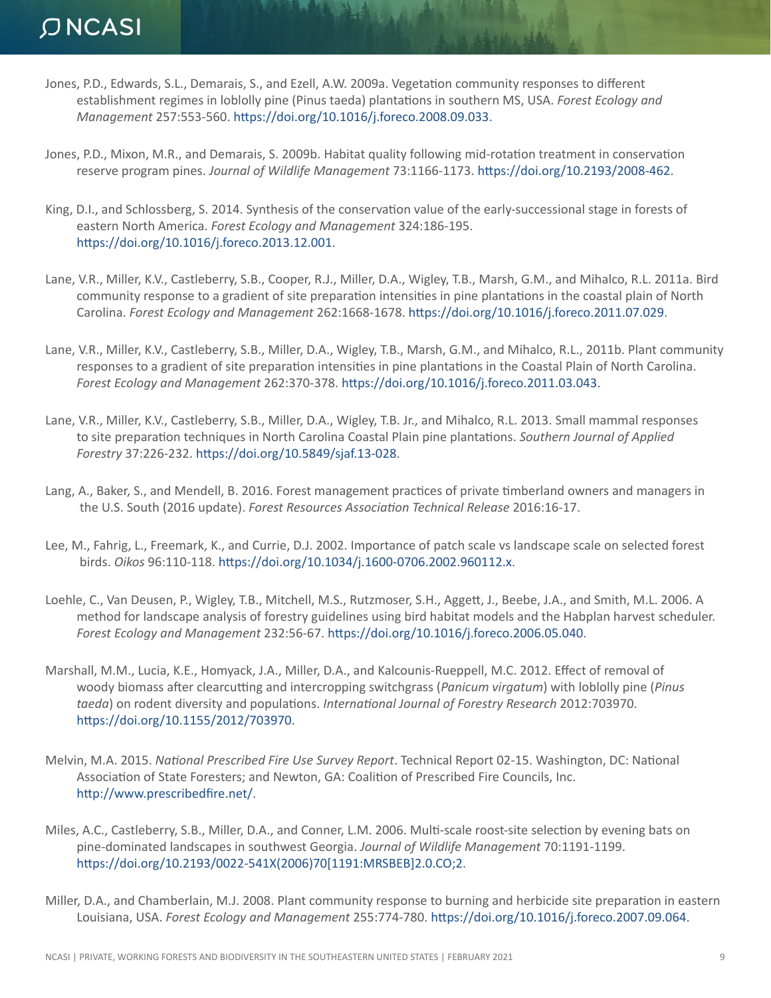Jones, P.D., Edwards, S.L., Demarais, S., and Ezell, A.W. 2009a. Vegetation community responses to different establishment regimes in loblolly pine (Pinus taeda) plantations in southern MS, USA. *Forest Ecology and Management* 257:553-560. [https://doi.org/10.1016/j.foreco.2008.09.033.](https://doi.org/10.1016/j.foreco.2008.09.033)

MANAGER ST

- Jones, P.D., Mixon, M.R., and Demarais, S. 2009b. Habitat quality following mid-rotation treatment in conservation reserve program pines. *Journal of Wildlife Management* 73:1166-1173. [https://doi.org/10.2193/2008-462.](https://doi.org/10.2193/2008-462)
- King, D.I., and Schlossberg, S. 2014. Synthesis of the conservation value of the early-successional stage in forests of eastern North America. *Forest Ecology and Management* 324:186-195. [https://doi.org/10.1016/j.foreco.2013.12.001.](https://doi.org/10.1016/j.foreco.2013.12.001)
- Lane, V.R., Miller, K.V., Castleberry, S.B., Cooper, R.J., Miller, D.A., Wigley, T.B., Marsh, G.M., and Mihalco, R.L. 2011a. Bird community response to a gradient of site preparation intensities in pine plantations in the coastal plain of North Carolina. *Forest Ecology and Management* 262:1668-1678. [https://doi.org/10.1016/j.foreco.2011.07.029.](https://doi.org/10.1016/j.foreco.2011.07.029)
- Lane, V.R., Miller, K.V., Castleberry, S.B., Miller, D.A., Wigley, T.B., Marsh, G.M., and Mihalco, R.L., 2011b. Plant community responses to a gradient of site preparation intensities in pine plantations in the Coastal Plain of North Carolina. *Forest Ecology and Management* 262:370-378.<https://doi.org/10.1016/j.foreco.2011.03.043>.
- Lane, V.R., Miller, K.V., Castleberry, S.B., Miller, D.A., Wigley, T.B. Jr., and Mihalco, R.L. 2013. Small mammal responses to site preparation techniques in North Carolina Coastal Plain pine plantations. *Southern Journal of Applied Forestry* 37:226-232. <https://doi.org/10.5849/sjaf.13-028>.
- Lang, A., Baker, S., and Mendell, B. 2016. Forest management practices of private timberland owners and managers in the U.S. South (2016 update). *Forest Resources Association Technical Release* 2016:16-17.
- Lee, M., Fahrig, L., Freemark, K., and Currie, D.J. 2002. Importance of patch scale vs landscape scale on selected forest birds. *Oikos* 96:110-118. [https://doi.org/10.1034/j.1600-0706.2002.960112.x.](https://doi.org/10.1034/j.1600-0706.2002.960112.x)
- Loehle, C., Van Deusen, P., Wigley, T.B., Mitchell, M.S., Rutzmoser, S.H., Aggett, J., Beebe, J.A., and Smith, M.L. 2006. A method for landscape analysis of forestry guidelines using bird habitat models and the Habplan harvest scheduler. *Forest Ecology and Management* 232:56-67.<https://doi.org/10.1016/j.foreco.2006.05.040>.
- Marshall, M.M., Lucia, K.E., Homyack, J.A., Miller, D.A., and Kalcounis-Rueppell, M.C. 2012. Effect of removal of woody biomass after clearcutting and intercropping switchgrass (*Panicum virgatum*) with loblolly pine (*Pinus taeda*) on rodent diversity and populations. *International Journal of Forestry Research* 2012:703970. [https://doi.org/10.1155/2012/703970.](https://doi.org/10.1155/2012/703970)
- Melvin, M.A. 2015. *National Prescribed Fire Use Survey Report*. Technical Report 02-15. Washington, DC: National Association of State Foresters; and Newton, GA: Coalition of Prescribed Fire Councils, Inc. [http://www.prescribedfire.net/.](http://www.prescribedfire.net/)
- Miles, A.C., Castleberry, S.B., Miller, D.A., and Conner, L.M. 2006. Multi-scale roost-site selection by evening bats on pine-dominated landscapes in southwest Georgia. *Journal of Wildlife Management* 70:1191-1199. [https://doi.org/10.2193/0022-541X\(2006\)70\[1191:MRSBEB\]2.0.CO;2.](https://doi.org/10.2193/0022-541X(2006)70[1191:MRSBEB]2.0.CO;2)
- Miller, D.A., and Chamberlain, M.J. 2008. Plant community response to burning and herbicide site preparation in eastern Louisiana, USA. *Forest Ecology and Management* 255:774-780.<https://doi.org/10.1016/j.foreco.2007.09.064>.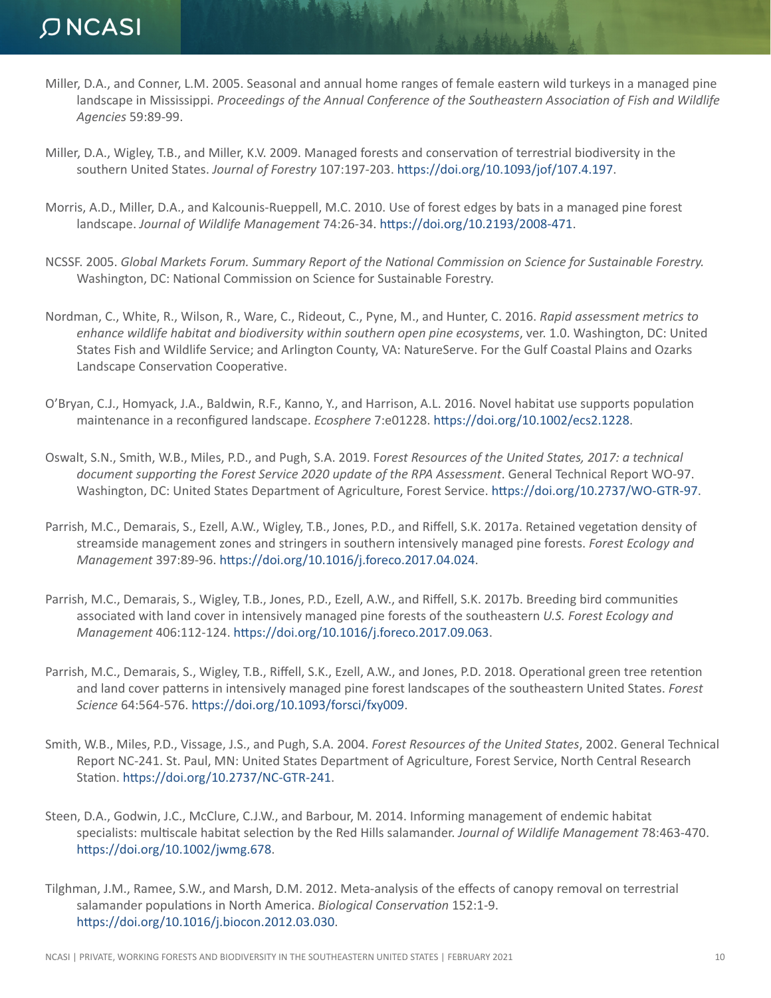- Miller, D.A., and Conner, L.M. 2005. Seasonal and annual home ranges of female eastern wild turkeys in a managed pine landscape in Mississippi. *Proceedings of the Annual Conference of the Southeastern Association of Fish and Wildlife Agencies* 59:89-99.
- Miller, D.A., Wigley, T.B., and Miller, K.V. 2009. Managed forests and conservation of terrestrial biodiversity in the southern United States. *Journal of Forestry* 107:197-203. <https://doi.org/10.1093/jof/107.4.197>.

TAN PARA

- Morris, A.D., Miller, D.A., and Kalcounis-Rueppell, M.C. 2010. Use of forest edges by bats in a managed pine forest landscape. *Journal of Wildlife Management* 74:26-34. [https://doi.org/10.2193/2008-471.](https://doi.org/10.2193/2008-471)
- NCSSF. 2005. *Global Markets Forum. Summary Report of the National Commission on Science for Sustainable Forestry.* Washington, DC: National Commission on Science for Sustainable Forestry.
- Nordman, C., White, R., Wilson, R., Ware, C., Rideout, C., Pyne, M., and Hunter, C. 2016. *Rapid assessment metrics to enhance wildlife habitat and biodiversity within southern open pine ecosystems*, ver. 1.0. Washington, DC: United States Fish and Wildlife Service; and Arlington County, VA: NatureServe. For the Gulf Coastal Plains and Ozarks Landscape Conservation Cooperative.
- O'Bryan, C.J., Homyack, J.A., Baldwin, R.F., Kanno, Y., and Harrison, A.L. 2016. Novel habitat use supports population maintenance in a reconfigured landscape. *Ecosphere* 7:e01228.<https://doi.org/10.1002/ecs2.1228>.
- Oswalt, S.N., Smith, W.B., Miles, P.D., and Pugh, S.A. 2019. F*orest Resources of the United States, 2017: a technical document supporting the Forest Service 2020 update of the RPA Assessment*. General Technical Report WO-97. Washington, DC: United States Department of Agriculture, Forest Service.<https://doi.org/10.2737/WO-GTR-97>.
- Parrish, M.C., Demarais, S., Ezell, A.W., Wigley, T.B., Jones, P.D., and Riffell, S.K. 2017a. Retained vegetation density of streamside management zones and stringers in southern intensively managed pine forests. *Forest Ecology and Management* 397:89-96.<https://doi.org/10.1016/j.foreco.2017.04.024>.
- Parrish, M.C., Demarais, S., Wigley, T.B., Jones, P.D., Ezell, A.W., and Riffell, S.K. 2017b. Breeding bird communities associated with land cover in intensively managed pine forests of the southeastern *U.S. Forest Ecology and Management* 406:112-124. [https://doi.org/10.1016/j.foreco.2017.09.063.](https://doi.org/10.1016/j.foreco.2017.09.063)
- Parrish, M.C., Demarais, S., Wigley, T.B., Riffell, S.K., Ezell, A.W., and Jones, P.D. 2018. Operational green tree retention and land cover patterns in intensively managed pine forest landscapes of the southeastern United States. *Forest Science* 64:564-576.<https://doi.org/10.1093/forsci/fxy009>.
- Smith, W.B., Miles, P.D., Vissage, J.S., and Pugh, S.A. 2004. *Forest Resources of the United States*, 2002. General Technical Report NC-241. St. Paul, MN: United States Department of Agriculture, Forest Service, North Central Research Station. <https://doi.org/10.2737/NC-GTR-241>.
- Steen, D.A., Godwin, J.C., McClure, C.J.W., and Barbour, M. 2014. Informing management of endemic habitat specialists: multiscale habitat selection by the Red Hills salamander. *Journal of Wildlife Management* 78:463-470. [https://doi.org/10.1002/jwmg.678.](https://doi.org/10.1002/jwmg.678)
- Tilghman, J.M., Ramee, S.W., and Marsh, D.M. 2012. Meta-analysis of the effects of canopy removal on terrestrial salamander populations in North America. *Biological Conservation* 152:1-9. [https://doi.org/10.1016/j.biocon.2012.03.030.](https://doi.org/10.1016/j.biocon.2012.03.030)